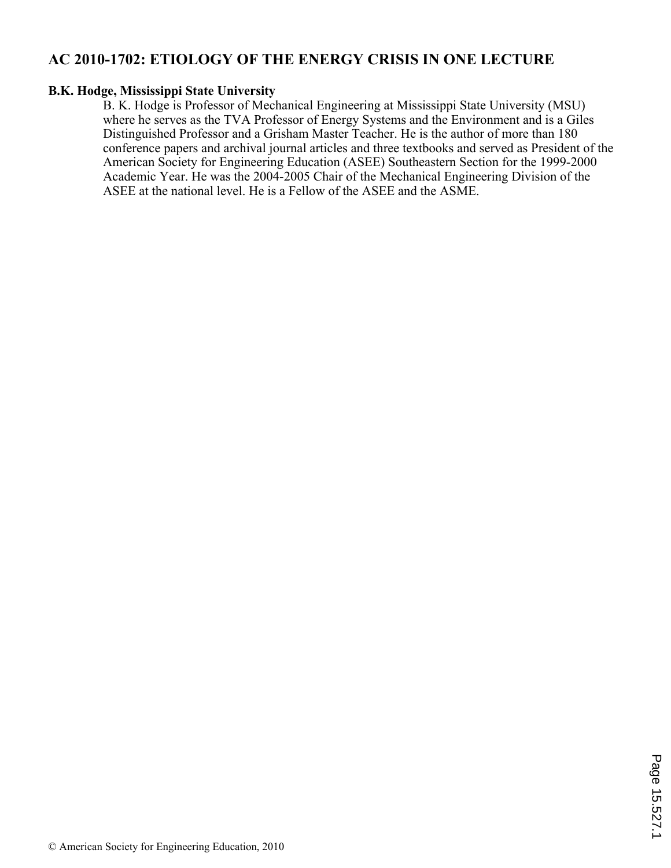# **AC 2010-1702: ETIOLOGY OF THE ENERGY CRISIS IN ONE LECTURE**

## **B.K. Hodge, Mississippi State University**

B. K. Hodge is Professor of Mechanical Engineering at Mississippi State University (MSU) where he serves as the TVA Professor of Energy Systems and the Environment and is a Giles Distinguished Professor and a Grisham Master Teacher. He is the author of more than 180 conference papers and archival journal articles and three textbooks and served as President of the American Society for Engineering Education (ASEE) Southeastern Section for the 1999-2000 Academic Year. He was the 2004-2005 Chair of the Mechanical Engineering Division of the ASEE at the national level. He is a Fellow of the ASEE and the ASME.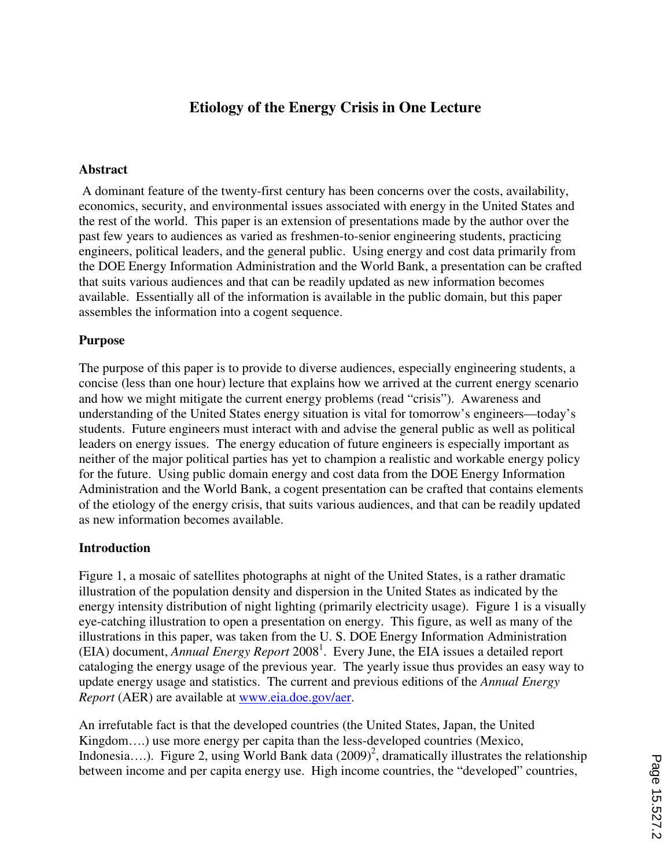# **Etiology of the Energy Crisis in One Lecture**

#### **Abstract**

 A dominant feature of the twenty-first century has been concerns over the costs, availability, economics, security, and environmental issues associated with energy in the United States and the rest of the world. This paper is an extension of presentations made by the author over the past few years to audiences as varied as freshmen-to-senior engineering students, practicing engineers, political leaders, and the general public. Using energy and cost data primarily from the DOE Energy Information Administration and the World Bank, a presentation can be crafted that suits various audiences and that can be readily updated as new information becomes available. Essentially all of the information is available in the public domain, but this paper assembles the information into a cogent sequence.

## **Purpose**

The purpose of this paper is to provide to diverse audiences, especially engineering students, a concise (less than one hour) lecture that explains how we arrived at the current energy scenario and how we might mitigate the current energy problems (read "crisis"). Awareness and understanding of the United States energy situation is vital for tomorrow's engineers—today's students. Future engineers must interact with and advise the general public as well as political leaders on energy issues. The energy education of future engineers is especially important as neither of the major political parties has yet to champion a realistic and workable energy policy for the future. Using public domain energy and cost data from the DOE Energy Information Administration and the World Bank, a cogent presentation can be crafted that contains elements of the etiology of the energy crisis, that suits various audiences, and that can be readily updated as new information becomes available.

# **Introduction**

Figure 1, a mosaic of satellites photographs at night of the United States, is a rather dramatic illustration of the population density and dispersion in the United States as indicated by the energy intensity distribution of night lighting (primarily electricity usage). Figure 1 is a visually eye-catching illustration to open a presentation on energy. This figure, as well as many of the illustrations in this paper, was taken from the U. S. DOE Energy Information Administration (EIA) document, *Annual Energy Report* 2008<sup>1</sup>. Every June, the EIA issues a detailed report cataloging the energy usage of the previous year. The yearly issue thus provides an easy way to update energy usage and statistics. The current and previous editions of the *Annual Energy Report* (AER) are available at www.eia.doe.gov/aer.

An irrefutable fact is that the developed countries (the United States, Japan, the United Kingdom….) use more energy per capita than the less-developed countries (Mexico, Indonesia....). Figure 2, using World Bank data  $(2009)^2$ , dramatically illustrates the relationship between income and per capita energy use. High income countries, the "developed" countries,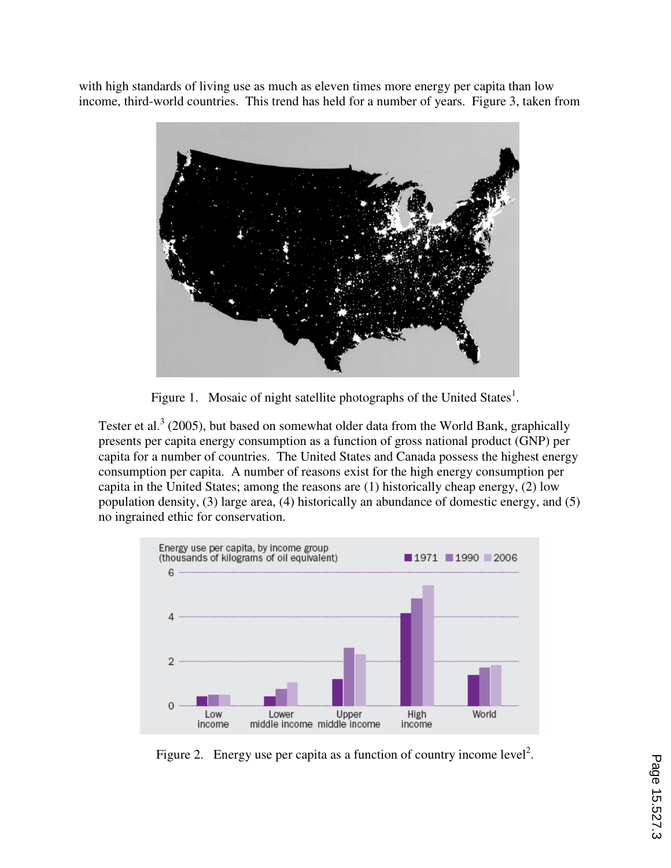with high standards of living use as much as eleven times more energy per capita than low income, third-world countries. This trend has held for a number of years. Figure 3, taken from



Figure 1. Mosaic of night satellite photographs of the United States<sup>1</sup>.

Tester et al.<sup>3</sup> (2005), but based on somewhat older data from the World Bank, graphically presents per capita energy consumption as a function of gross national product (GNP) per capita for a number of countries. The United States and Canada possess the highest energy consumption per capita. A number of reasons exist for the high energy consumption per capita in the United States; among the reasons are (1) historically cheap energy, (2) low population density, (3) large area, (4) historically an abundance of domestic energy, and (5) no ingrained ethic for conservation.



Figure 2. Energy use per capita as a function of country income level<sup>2</sup>.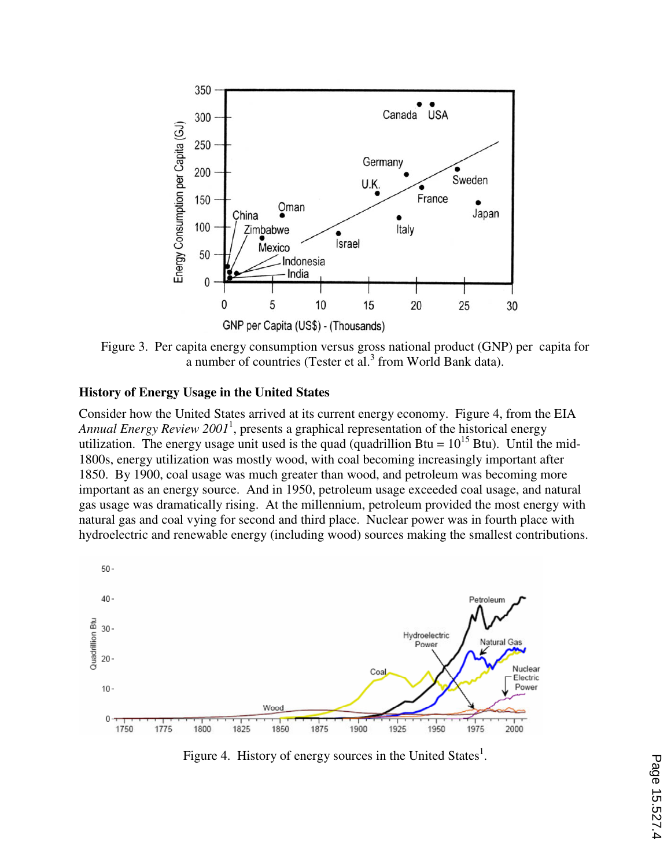

Figure 3. Per capita energy consumption versus gross national product (GNP) per capita for a number of countries (Tester et al. $<sup>3</sup>$  from World Bank data).</sup>

#### **History of Energy Usage in the United States**

Consider how the United States arrived at its current energy economy. Figure 4, from the EIA Annual Energy Review 2001<sup>1</sup>, presents a graphical representation of the historical energy utilization. The energy usage unit used is the quad (quadrillion Btu =  $10^{15}$  Btu). Until the mid-1800s, energy utilization was mostly wood, with coal becoming increasingly important after 1850. By 1900, coal usage was much greater than wood, and petroleum was becoming more important as an energy source. And in 1950, petroleum usage exceeded coal usage, and natural gas usage was dramatically rising. At the millennium, petroleum provided the most energy with natural gas and coal vying for second and third place. Nuclear power was in fourth place with hydroelectric and renewable energy (including wood) sources making the smallest contributions.



Figure 4. History of energy sources in the United States<sup>1</sup>.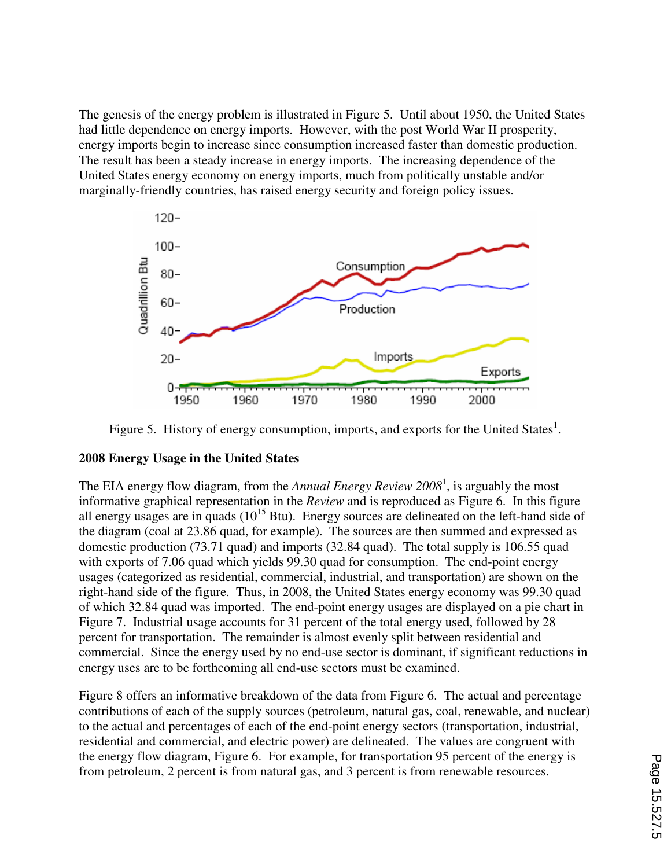The genesis of the energy problem is illustrated in Figure 5. Until about 1950, the United States had little dependence on energy imports. However, with the post World War II prosperity, energy imports begin to increase since consumption increased faster than domestic production. The result has been a steady increase in energy imports. The increasing dependence of the United States energy economy on energy imports, much from politically unstable and/or marginally-friendly countries, has raised energy security and foreign policy issues.



Figure 5. History of energy consumption, imports, and exports for the United States<sup>1</sup>.

# **2008 Energy Usage in the United States**

The EIA energy flow diagram, from the *Annual Energy Review 2008*<sup>1</sup> , is arguably the most informative graphical representation in the *Review* and is reproduced as Figure 6. In this figure all energy usages are in quads  $(10^{15}$  Btu). Energy sources are delineated on the left-hand side of the diagram (coal at 23.86 quad, for example). The sources are then summed and expressed as domestic production (73.71 quad) and imports (32.84 quad). The total supply is 106.55 quad with exports of 7.06 quad which yields 99.30 quad for consumption. The end-point energy usages (categorized as residential, commercial, industrial, and transportation) are shown on the right-hand side of the figure. Thus, in 2008, the United States energy economy was 99.30 quad of which 32.84 quad was imported. The end-point energy usages are displayed on a pie chart in Figure 7. Industrial usage accounts for 31 percent of the total energy used, followed by 28 percent for transportation. The remainder is almost evenly split between residential and commercial. Since the energy used by no end-use sector is dominant, if significant reductions in energy uses are to be forthcoming all end-use sectors must be examined.

Figure 8 offers an informative breakdown of the data from Figure 6. The actual and percentage contributions of each of the supply sources (petroleum, natural gas, coal, renewable, and nuclear) to the actual and percentages of each of the end-point energy sectors (transportation, industrial, residential and commercial, and electric power) are delineated. The values are congruent with the energy flow diagram, Figure 6. For example, for transportation 95 percent of the energy is from petroleum, 2 percent is from natural gas, and 3 percent is from renewable resources.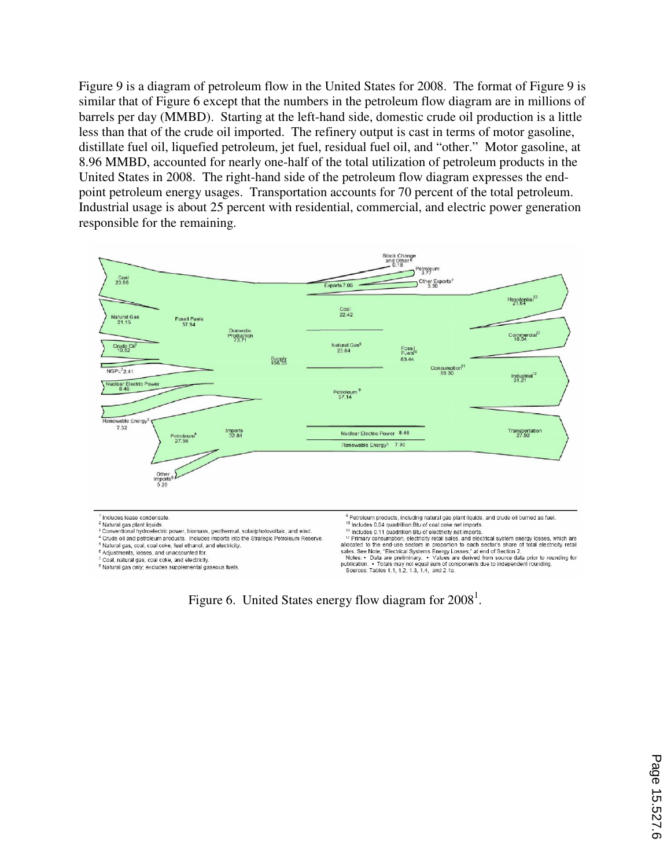Figure 9 is a diagram of petroleum flow in the United States for 2008. The format of Figure 9 is similar that of Figure 6 except that the numbers in the petroleum flow diagram are in millions of barrels per day (MMBD). Starting at the left-hand side, domestic crude oil production is a little less than that of the crude oil imported. The refinery output is cast in terms of motor gasoline, distillate fuel oil, liquefied petroleum, jet fuel, residual fuel oil, and "other." Motor gasoline, at 8.96 MMBD, accounted for nearly one-half of the total utilization of petroleum products in the United States in 2008. The right-hand side of the petroleum flow diagram expresses the endpoint petroleum energy usages. Transportation accounts for 70 percent of the total petroleum. Industrial usage is about 25 percent with residential, commercial, and electric power generation responsible for the remaining.



Figure 6. United States energy flow diagram for  $2008<sup>1</sup>$ .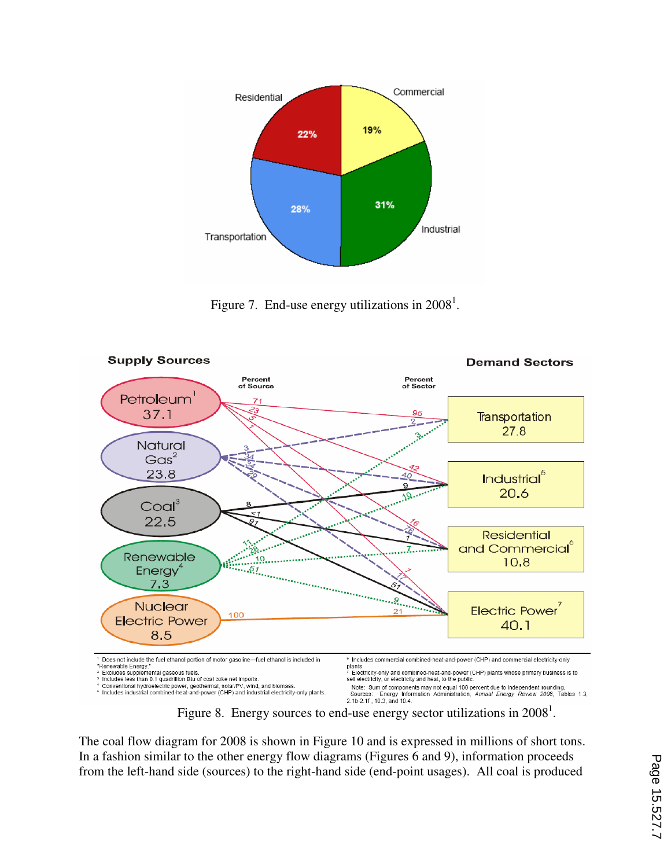

Figure 7. End-use energy utilizations in  $2008<sup>1</sup>$ .



Figure 8. Energy sources to end-use energy sector utilizations in  $2008<sup>1</sup>$ .

The coal flow diagram for 2008 is shown in Figure 10 and is expressed in millions of short tons. In a fashion similar to the other energy flow diagrams (Figures 6 and 9), information proceeds from the left-hand side (sources) to the right-hand side (end-point usages). All coal is produced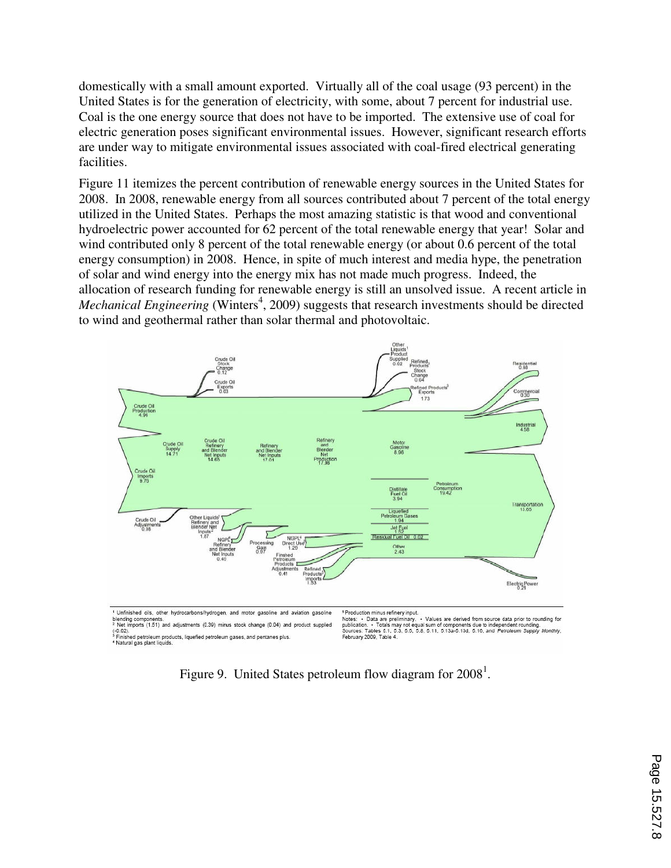domestically with a small amount exported. Virtually all of the coal usage (93 percent) in the United States is for the generation of electricity, with some, about 7 percent for industrial use. Coal is the one energy source that does not have to be imported. The extensive use of coal for electric generation poses significant environmental issues. However, significant research efforts are under way to mitigate environmental issues associated with coal-fired electrical generating facilities.

Figure 11 itemizes the percent contribution of renewable energy sources in the United States for 2008. In 2008, renewable energy from all sources contributed about 7 percent of the total energy utilized in the United States. Perhaps the most amazing statistic is that wood and conventional hydroelectric power accounted for 62 percent of the total renewable energy that year! Solar and wind contributed only 8 percent of the total renewable energy (or about 0.6 percent of the total energy consumption) in 2008. Hence, in spite of much interest and media hype, the penetration of solar and wind energy into the energy mix has not made much progress. Indeed, the allocation of research funding for renewable energy is still an unsolved issue. A recent article in Mechanical Engineering (Winters<sup>4</sup>, 2009) suggests that research investments should be directed to wind and geothermal rather than solar thermal and photovoltaic.



- Net impose (1.01) and adjustments (0.09) minus stock change (0.04) and<br>{-0.02}.<br><sup>3</sup> Finished petroleum products, liquefied petroleum gases, and pentanes plus<br>\* Natural gas plant liquids.

<sup>s</sup> Production minus refinery input.<br>Notes: • Data are preliminary. • Values are derived from source data prior to rounding for<br>Sources: Tables 6.1, 6.3, 6.5, 6.1, minus components due to independent rounding.<br>Soknuary 200 February 2009, Table

Figure 9. United States petroleum flow diagram for  $2008<sup>1</sup>$ .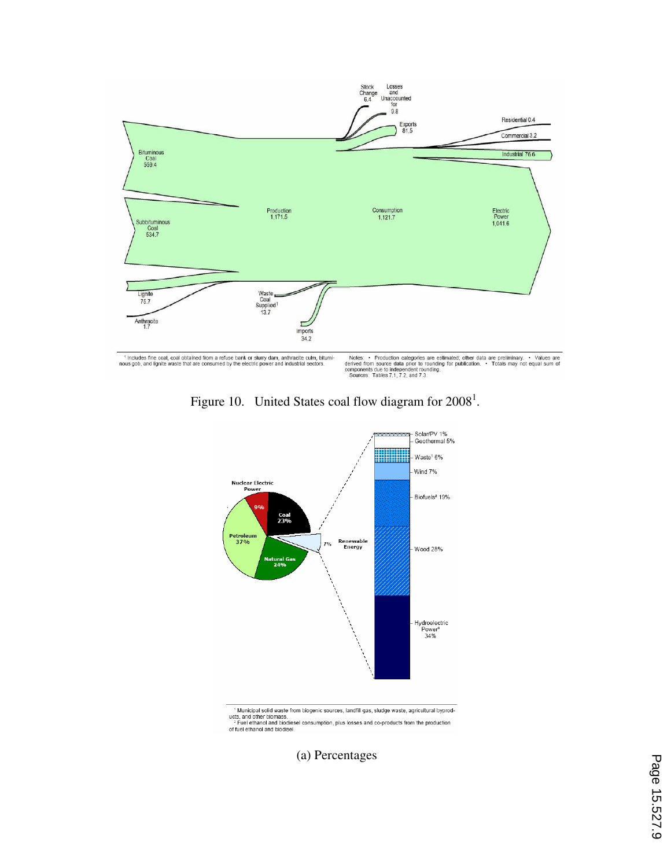

Figure 10. United States coal flow diagram for  $2008<sup>1</sup>$ .



<sup>1</sup> Municipal solid waste from biogenic sources, landfill gas, sludge waste, agricultural byproducts, and other biomass.<br>
<sup>2</sup> Fuel ethanol and biodiesel consumption, plus losses and co-products from the production<br>
of fuel

(a) Percentages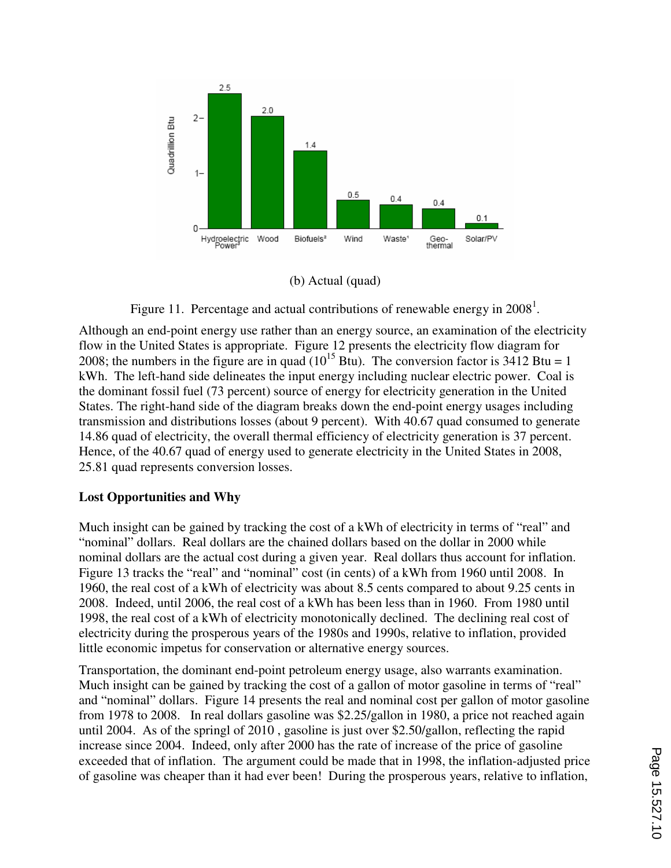

(b) Actual (quad)

Figure 11. Percentage and actual contributions of renewable energy in  $2008<sup>1</sup>$ .

Although an end-point energy use rather than an energy source, an examination of the electricity flow in the United States is appropriate. Figure 12 presents the electricity flow diagram for 2008; the numbers in the figure are in quad  $(10^{15}$  Btu). The conversion factor is 3412 Btu = 1 kWh. The left-hand side delineates the input energy including nuclear electric power. Coal is the dominant fossil fuel (73 percent) source of energy for electricity generation in the United States. The right-hand side of the diagram breaks down the end-point energy usages including transmission and distributions losses (about 9 percent). With 40.67 quad consumed to generate 14.86 quad of electricity, the overall thermal efficiency of electricity generation is 37 percent. Hence, of the 40.67 quad of energy used to generate electricity in the United States in 2008, 25.81 quad represents conversion losses.

# **Lost Opportunities and Why**

Much insight can be gained by tracking the cost of a kWh of electricity in terms of "real" and "nominal" dollars. Real dollars are the chained dollars based on the dollar in 2000 while nominal dollars are the actual cost during a given year. Real dollars thus account for inflation. Figure 13 tracks the "real" and "nominal" cost (in cents) of a kWh from 1960 until 2008. In 1960, the real cost of a kWh of electricity was about 8.5 cents compared to about 9.25 cents in 2008. Indeed, until 2006, the real cost of a kWh has been less than in 1960. From 1980 until 1998, the real cost of a kWh of electricity monotonically declined. The declining real cost of electricity during the prosperous years of the 1980s and 1990s, relative to inflation, provided little economic impetus for conservation or alternative energy sources.

Transportation, the dominant end-point petroleum energy usage, also warrants examination. Much insight can be gained by tracking the cost of a gallon of motor gasoline in terms of "real" and "nominal" dollars. Figure 14 presents the real and nominal cost per gallon of motor gasoline from 1978 to 2008. In real dollars gasoline was \$2.25/gallon in 1980, a price not reached again until 2004. As of the springl of 2010 , gasoline is just over \$2.50/gallon, reflecting the rapid increase since 2004. Indeed, only after 2000 has the rate of increase of the price of gasoline exceeded that of inflation. The argument could be made that in 1998, the inflation-adjusted price of gasoline was cheaper than it had ever been! During the prosperous years, relative to inflation,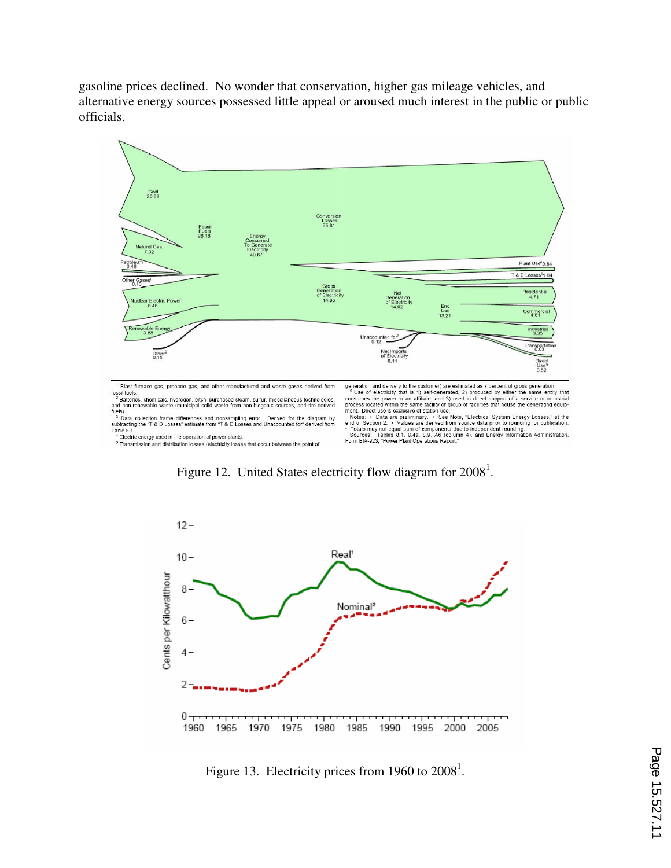gasoline prices declined. No wonder that conservation, higher gas mileage vehicles, and alternative energy sources possessed little appeal or aroused much interest in the public or public officials.



<sup>1</sup> Blast furnace gas, propane gas, and other manufactured and waste gases derived from ous control of the state was, and other manufactured and waste gases derived non-<br>fossil fuels.<br><sup>2</sup> Batteries, chemicals, hydrogen, pitch, purchased steam, sulfur, miscellaneous technologies,<br>and non-renewable waste (munic

fuels).

Tues).<br>
The Data collection frame differences and nonsampling error. Derived for the diagram by<br>
subtracting the "T & D Losses" estimate from "T & D Losses and Unaccounted for" derived from<br>
Table 8.1.<br>
"Electric energy us

generation and delivery to the customer) are estimated as 7 percent of gross generation.<br>
<sup>®</sup> Use of electricity that is 1) self-generated, 2) produced by either the same entity that<br>
consums the power or an affilitie, an

 $12 -$ Real<sup>1</sup>  $10 -$ Cents per Kilowatthour 8 Nominal<sup>2</sup>  $6-$ 4-2  $0$   $\tau$   $\tau$   $\tau$   $\tau$   $\tau$ 1970 1975 1985 1960 1965 1980 1990 1995 2000 2005

Figure 12. United States electricity flow diagram for  $2008<sup>1</sup>$ .

Figure 13. Electricity prices from 1960 to  $2008<sup>1</sup>$ .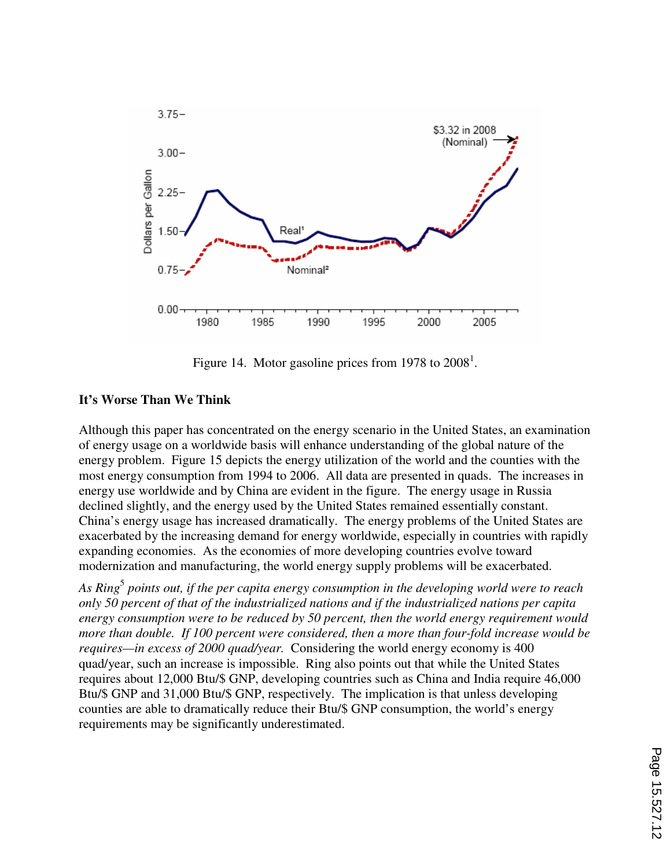

Figure 14. Motor gasoline prices from 1978 to  $2008<sup>1</sup>$ .

# **It's Worse Than We Think**

Although this paper has concentrated on the energy scenario in the United States, an examination of energy usage on a worldwide basis will enhance understanding of the global nature of the energy problem. Figure 15 depicts the energy utilization of the world and the counties with the most energy consumption from 1994 to 2006. All data are presented in quads. The increases in energy use worldwide and by China are evident in the figure. The energy usage in Russia declined slightly, and the energy used by the United States remained essentially constant. China's energy usage has increased dramatically. The energy problems of the United States are exacerbated by the increasing demand for energy worldwide, especially in countries with rapidly expanding economies. As the economies of more developing countries evolve toward modernization and manufacturing, the world energy supply problems will be exacerbated.

*As Ring*<sup>5</sup>  *points out, if the per capita energy consumption in the developing world were to reach only 50 percent of that of the industrialized nations and if the industrialized nations per capita energy consumption were to be reduced by 50 percent, then the world energy requirement would more than double. If 100 percent were considered, then a more than four-fold increase would be requires—in excess of 2000 quad/year.* Considering the world energy economy is 400 quad/year, such an increase is impossible. Ring also points out that while the United States requires about 12,000 Btu/\$ GNP, developing countries such as China and India require 46,000 Btu/\$ GNP and 31,000 Btu/\$ GNP, respectively. The implication is that unless developing counties are able to dramatically reduce their Btu/\$ GNP consumption, the world's energy requirements may be significantly underestimated.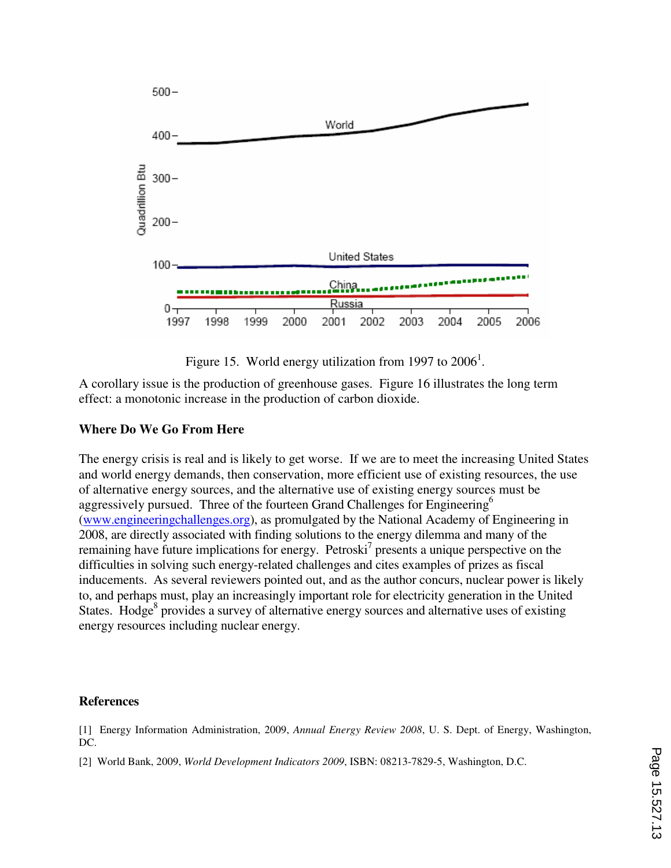

Figure 15. World energy utilization from 1997 to  $2006<sup>1</sup>$ .

A corollary issue is the production of greenhouse gases. Figure 16 illustrates the long term effect: a monotonic increase in the production of carbon dioxide.

## **Where Do We Go From Here**

The energy crisis is real and is likely to get worse. If we are to meet the increasing United States and world energy demands, then conservation, more efficient use of existing resources, the use of alternative energy sources, and the alternative use of existing energy sources must be aggressively pursued. Three of the fourteen Grand Challenges for Engineering<sup>6</sup> (www.engineeringchallenges.org), as promulgated by the National Academy of Engineering in 2008, are directly associated with finding solutions to the energy dilemma and many of the remaining have future implications for energy. Petroski<sup>7</sup> presents a unique perspective on the difficulties in solving such energy-related challenges and cites examples of prizes as fiscal inducements. As several reviewers pointed out, and as the author concurs, nuclear power is likely to, and perhaps must, play an increasingly important role for electricity generation in the United States. Hodge<sup>8</sup> provides a survey of alternative energy sources and alternative uses of existing energy resources including nuclear energy.

#### **References**

[1] Energy Information Administration, 2009, *Annual Energy Review 2008*, U. S. Dept. of Energy, Washington, DC.

[2] World Bank, 2009, *World Development Indicators 2009*, ISBN: 08213-7829-5, Washington, D.C.